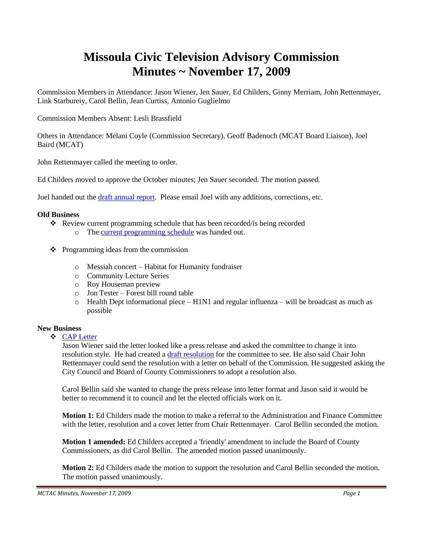# **Missoula Civic Television Advisory Commission Minutes ~ November 17, 2009**

Commission Members in Attendance: Jason Wiener, Jen Sauer, Ed Childers, Ginny Merriam, John Rettenmayer, Link Starbureiy, Carol Bellin, Jean Curtiss, Antonio Guglielmo

Commission Members Absent: Lesli Brassfield

Others in Attendance: Melani Coyle (Commission Secretary), Geoff Badenoch (MCAT Board Liaison), Joel Baird (MCAT)

John Rettenmayer called the meeting to order.

Ed Childers moved to approve the October minutes; Jen Sauer seconded. The motion passed.

Joel handed out the [draft annual report.](ftp://ftp.ci.missoula.mt.us/Documents/Mayor/GCCAC/2009/091117AnnualReportDraft.pdf) Please email Joel with any additions, corrections, etc.

### **Old Business**

- Review current programming schedule that has been recorded/is being recorded
	- o The [current programming schedule](ftp://ftp.ci.missoula.mt.us/Documents/Mayor/GCCAC/2009/091117Programming.pdf) was handed out.
- $\triangle$  Programming ideas from the commission
	- o Messiah concert Habitat for Humanity fundraiser
	- o Community Lecture Series
	- o Roy Houseman preview
	- o Jon Tester Forest bill round table
	- $\circ$  Health Dept informational piece H1N1 and regular influenza will be broadcast as much as possible

#### **New Business**

[CAP Letter](ftp://ftp.ci.missoula.mt.us/Documents/Mayor/GCCAC/2009/CAPPR091117.pdf)

Jason Wiener said the letter looked like a press release and asked the committee to change it into resolution style. He had created a [draft resolution](ftp://ftp.ci.missoula.mt.us/Documents/Mayor/GCCAC/2009/CAPRes091117.pdf) for the committee to see. He also said Chair John Rettenmayer could send the resolution with a letter on behalf of the Commission. He suggested asking the City Council and Board of County Commissioners to adopt a resolution also.

Carol Bellin said she wanted to change the press release into letter format and Jason said it would be better to recommend it to council and let the elected officials work on it.

**Motion 1:** Ed Childers made the motion to make a referral to the Administration and Finance Committee with the letter, resolution and a cover letter from Chair Rettenmayer. Carol Bellin seconded the motion.

**Motion 1 amended:** Ed Childers accepted a 'friendly' amendment to include the Board of County Commissioners, as did Carol Bellin. The amended motion passed unanimously.

**Motion 2:** Ed Childers made the motion to support the resolution and Carol Bellin seconded the motion. The motion passed unanimously.